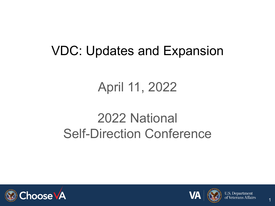### VDC: Updates and Expansion

### April 11, 2022

### 2022 National Self-Direction Conference





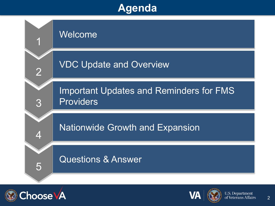#### **Agenda**





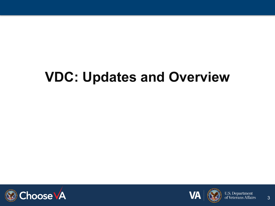## **VDC: Updates and Overview**





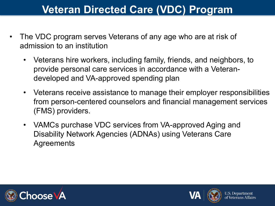#### **Veteran Directed Care (VDC) Program**

- The VDC program serves Veterans of any age who are at risk of admission to an institution
	- Veterans hire workers, including family, friends, and neighbors, to provide personal care services in accordance with a Veterandeveloped and VA-approved spending plan
	- Veterans receive assistance to manage their employer responsibilities from person-centered counselors and financial management services (FMS) providers.
	- VAMCs purchase VDC services from VA-approved Aging and Disability Network Agencies (ADNAs) using Veterans Care **Agreements**





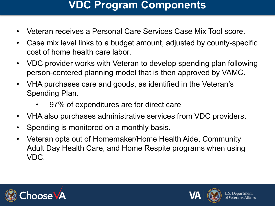#### **VDC Program Components**

- Veteran receives a Personal Care Services Case Mix Tool score.
- Case mix level links to a budget amount, adjusted by county-specific cost of home health care labor.
- VDC provider works with Veteran to develop spending plan following person-centered planning model that is then approved by VAMC.
- VHA purchases care and goods, as identified in the Veteran's Spending Plan.
	- 97% of expenditures are for direct care
- VHA also purchases administrative services from VDC providers.
- Spending is monitored on a monthly basis.
- Veteran opts out of Homemaker/Home Health Aide, Community Adult Day Health Care, and Home Respite programs when using VDC.



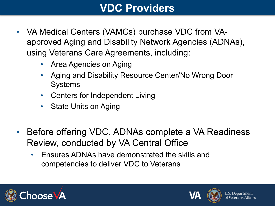#### **VDC Providers**

- VA Medical Centers (VAMCs) purchase VDC from VAapproved Aging and Disability Network Agencies (ADNAs), using Veterans Care Agreements, including:
	- Area Agencies on Aging
	- Aging and Disability Resource Center/No Wrong Door **Systems**
	- Centers for Independent Living
	- State Units on Aging
- Before offering VDC, ADNAs complete a VA Readiness Review, conducted by VA Central Office
	- Ensures ADNAs have demonstrated the skills and competencies to deliver VDC to Veterans



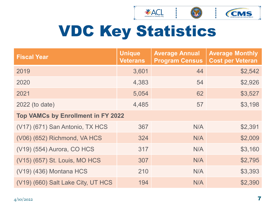

# VDC Key Statistics

| <b>Fiscal Year</b>                        | <b>Unique</b><br><b>Veterans</b> | <b>Average Annual</b><br><b>Program Census</b> | <b>Average Monthly</b><br><b>Cost per Veteran</b> |  |  |  |  |
|-------------------------------------------|----------------------------------|------------------------------------------------|---------------------------------------------------|--|--|--|--|
| 2019                                      | 3,601                            | 44                                             | \$2,542                                           |  |  |  |  |
| 2020                                      | 4,383                            | 54                                             | \$2,926                                           |  |  |  |  |
| 2021                                      | 5,054                            | 62                                             | \$3,527                                           |  |  |  |  |
| 2022 (to date)                            | 4,485                            | 57                                             | \$3,198                                           |  |  |  |  |
| <b>Top VAMCs by Enrollment in FY 2022</b> |                                  |                                                |                                                   |  |  |  |  |
| (V17) (671) San Antonio, TX HCS           | 367                              | N/A                                            | \$2,391                                           |  |  |  |  |
| (V06) (652) Richmond, VA HCS              | 324                              | N/A                                            | \$2,009                                           |  |  |  |  |
| (V19) (554) Aurora, CO HCS                | 317                              | N/A                                            | \$3,160                                           |  |  |  |  |
| (V15) (657) St. Louis, MO HCS             | 307                              | N/A                                            | \$2,795                                           |  |  |  |  |
| (V19) (436) Montana HCS                   | 210                              | N/A                                            | \$3,393                                           |  |  |  |  |
| (V19) (660) Salt Lake City, UT HCS        | 194                              | N/A                                            | \$2,390                                           |  |  |  |  |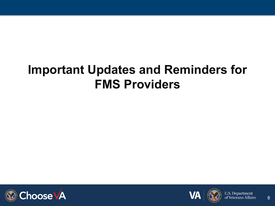### **Important Updates and Reminders for FMS Providers**





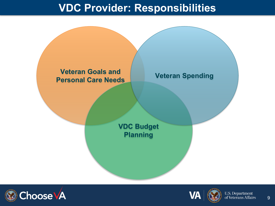#### **VDC Provider: Responsibilities**







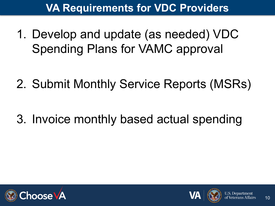#### **VA Requirements for VDC Providers**

1. Develop and update (as needed) VDC Spending Plans for VAMC approval

2. Submit Monthly Service Reports (MSRs)

3. Invoice monthly based actual spending



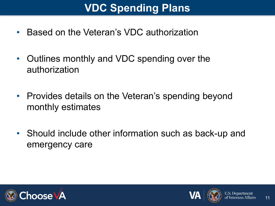#### **VDC Spending Plans**

- Based on the Veteran's VDC authorization
- Outlines monthly and VDC spending over the authorization
- Provides details on the Veteran's spending beyond monthly estimates
- Should include other information such as back-up and emergency care



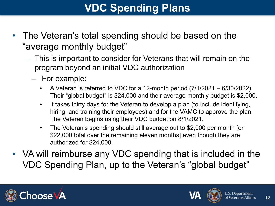#### **VDC Spending Plans**

- The Veteran's total spending should be based on the "average monthly budget"
	- This is important to consider for Veterans that will remain on the program beyond an initial VDC authorization
		- For example:
			- A Veteran is referred to VDC for a 12-month period  $(7/1/2021 6/30/2022)$ . Their "global budget" is \$24,000 and their average monthly budget is \$2,000.
			- It takes thirty days for the Veteran to develop a plan (to include identifying, hiring, and training their employees) and for the VAMC to approve the plan. The Veteran begins using their VDC budget on 8/1/2021.
			- The Veteran's spending should still average out to \$2,000 per month [or \$22,000 total over the remaining eleven months] even though they are authorized for \$24,000.
- VA will reimburse any VDC spending that is included in the VDC Spending Plan, up to the Veteran's "global budget"



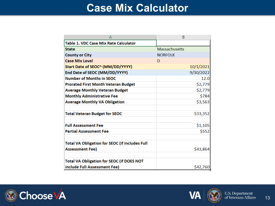#### **Case Mix Calculator**

|                                                       | B                    |  |  |  |
|-------------------------------------------------------|----------------------|--|--|--|
| <b>Table 1. VDC Case Mix Rate Calculator</b>          |                      |  |  |  |
| <b>State</b>                                          | <b>Massachusetts</b> |  |  |  |
| <b>County or City</b>                                 | <b>NORFOLK</b>       |  |  |  |
| <b>Case Mix Level</b>                                 | D                    |  |  |  |
| Start Date of SEOC^ (MM/DD/YYYY)                      | 10/1/2021            |  |  |  |
| End Date of SEOC (MM/DD/YYYY)                         | 9/30/2022            |  |  |  |
| <b>Number of Months in SEOC</b>                       | 12.0                 |  |  |  |
| <b>Prorated First Month Veteran Budget</b>            | \$2,779              |  |  |  |
| <b>Average Monthly Veteran Budget</b>                 | \$2,779              |  |  |  |
| <b>Monthly Administrative Fee</b>                     | \$784                |  |  |  |
| <b>Average Monthly VA Obligation</b>                  | \$3,563              |  |  |  |
|                                                       |                      |  |  |  |
| <b>Total Veteran Budget for SEOC</b>                  | \$33,352             |  |  |  |
|                                                       |                      |  |  |  |
| <b>Full Assessment Fee</b>                            | \$1,105              |  |  |  |
| <b>Partial Assessment Fee</b>                         | \$552                |  |  |  |
|                                                       |                      |  |  |  |
| <b>Total VA Obligation for SEOC (if includes Full</b> |                      |  |  |  |
| <b>Assessment Fee)</b>                                | \$43,864             |  |  |  |
|                                                       |                      |  |  |  |
| <b>Total VA Obligation for SEOC (if DOES NOT</b>      |                      |  |  |  |
| include Full Assessment Fee)                          | \$42,760             |  |  |  |



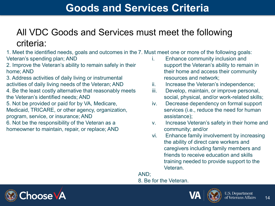#### **Goods and Services Criteria**

#### All VDC Goods and Services must meet the following criteria:

1. Meet the identified needs, goals and outcomes in the 7. Must meet one or more of the following goals: Veteran's spending plan; AND

2. Improve the Veteran's ability to remain safely in their home; AND

3. Address activities of daily living or instrumental activities of daily living needs of the Veteran; AND

4. Be the least costly alternative that reasonably meets the Veteran's identified needs; AND

5. Not be provided or paid for by VA, Medicare,

Medicaid, TRICARE, or other agency, organization, program, service, or insurance; AND

6. Not be the responsibility of the Veteran as a homeowner to maintain, repair, or replace; AND

- i. Enhance community inclusion and support the Veteran's ability to remain in their home and access their community resources and network;
- ii. Increase the Veteran's independence;
- iii. Develop, maintain, or improve personal, social, physical, and/or work-related skills;
- iv. Decrease dependency on formal support services (i.e., reduce the need for human assistance);
- v. Increase Veteran's safety in their home and community; and/or
- vi. Enhance family involvement by increasing the ability of direct care workers and caregivers including family members and friends to receive education and skills training needed to provide support to the Veteran.

AND;

8. Be for the Veteran.



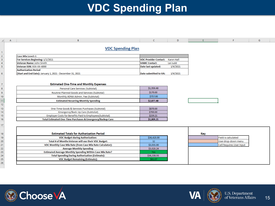#### **VDC Spending Plan**

| Α                                                                                 | R                                                          | C                            | D                 |            |                            | G |  |  |  |  |
|-----------------------------------------------------------------------------------|------------------------------------------------------------|------------------------------|-------------------|------------|----------------------------|---|--|--|--|--|
| $\mathbf{1}$                                                                      | <b>VDC Spending Plan</b>                                   |                              |                   |            |                            |   |  |  |  |  |
|                                                                                   | <b>Case Mix Level: G</b>                                   |                              |                   |            |                            |   |  |  |  |  |
|                                                                                   | For Services Beginning: 1/1/2021                           | <b>VDC Provider Contact:</b> | <b>Karen Hall</b> |            |                            |   |  |  |  |  |
| $\begin{array}{c}\n2 \\ 3 \\ 4 \\ \hline\n5\n\end{array}$                         | Veteran Name: John Smith                                   | <b>VAMC Contact:</b>         | Lei Judd          |            |                            |   |  |  |  |  |
|                                                                                   | Veteran SSN: XXX-XX-6000                                   | Date last updated:           | 1/4/2021          |            |                            |   |  |  |  |  |
|                                                                                   | <b>Authorization Period</b>                                |                              |                   |            |                            |   |  |  |  |  |
| $6\phantom{.}6$                                                                   | (Start and End Date): January 1, 2021 - December 31, 2021  | Date submitted to VA:        | 1/4/2021          |            |                            |   |  |  |  |  |
| $\begin{array}{c c}\n7 & 8 \\ \hline\n9 & 10\n\end{array}$                        | <b>Estimated One-Time and Monthly Expenses</b>             |                              |                   |            |                            |   |  |  |  |  |
|                                                                                   | Personal Care Services (Subtotal)                          | \$1,950.48                   |                   |            |                            |   |  |  |  |  |
|                                                                                   | Routine Planned Goods and Services (Subtotal)              | \$170.00                     |                   |            |                            |   |  |  |  |  |
|                                                                                   | Monthly ADNA Admin. Fee (Subtotal)                         | \$757.00                     |                   |            |                            |   |  |  |  |  |
| 11                                                                                | <b>Estimated Recurring Monthly Spending</b>                | \$2,877.48                   |                   |            |                            |   |  |  |  |  |
| $\frac{12}{1}$                                                                    |                                                            |                              |                   |            |                            |   |  |  |  |  |
|                                                                                   | One-Time Goods & Services Purchases (Subtotal)             | \$870.00                     |                   |            |                            |   |  |  |  |  |
| $\frac{13}{14}$                                                                   | Emergency/Back-Up Care (Subtotal)                          | \$700.00                     |                   |            |                            |   |  |  |  |  |
|                                                                                   | Employer Costs for Benefits Paid to Employees(Subtotal)    | \$239.21                     |                   |            |                            |   |  |  |  |  |
| $\frac{15}{16}$                                                                   | Total Estimated One-Time Purchases & Emergency/Backup Care | \$1,809.21                   |                   |            |                            |   |  |  |  |  |
| 17 <sub>1</sub>                                                                   |                                                            |                              |                   |            |                            |   |  |  |  |  |
|                                                                                   | <b>Estimated Totals for Authorization Period</b>           |                              |                   | <b>Key</b> |                            |   |  |  |  |  |
|                                                                                   | <b>VDC Budget during Authorization:</b>                    | \$36,420.00                  |                   |            | <b>Field is calculated</b> |   |  |  |  |  |
|                                                                                   | Total # of Months Veteran will use their VDC Budget:       | 12                           |                   |            | User drop-down menu        |   |  |  |  |  |
|                                                                                   | VDC Monthly Case Mix Rate (from Case Mix Rate Calculator): | \$3,035.00                   |                   |            | Cell Requires User Input   |   |  |  |  |  |
|                                                                                   | <b>Average Monthly Spending</b>                            | \$3,028.24                   |                   |            |                            |   |  |  |  |  |
|                                                                                   | Estimated Average Monthly Spending Within Case Mix Rate?   | Yes                          |                   |            |                            |   |  |  |  |  |
| $\begin{array}{r} 18 \\ 19 \\ 20 \\ 21 \\ 22 \\ 23 \\ 24 \\ 25 \\ 26 \end{array}$ | <b>Total Spending During Authorization (Estimate):</b>     | \$36,338.93                  |                   |            |                            |   |  |  |  |  |
|                                                                                   | <b>VDC Budget Remaining (Estimate):</b>                    | \$81.07                      |                   |            |                            |   |  |  |  |  |
|                                                                                   |                                                            |                              |                   |            |                            |   |  |  |  |  |
|                                                                                   |                                                            |                              |                   |            |                            |   |  |  |  |  |



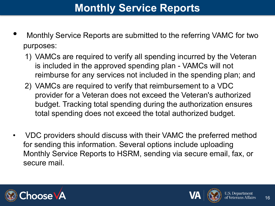#### **Monthly Service Reports**

- Monthly Service Reports are submitted to the referring VAMC for two purposes:
	- 1) VAMCs are required to verify all spending incurred by the Veteran is included in the approved spending plan - VAMCs will not reimburse for any services not included in the spending plan; and
	- 2) VAMCs are required to verify that reimbursement to a VDC provider for a Veteran does not exceed the Veteran's authorized budget. Tracking total spending during the authorization ensures total spending does not exceed the total authorized budget.
- VDC providers should discuss with their VAMC the preferred method for sending this information. Several options include uploading Monthly Service Reports to HSRM, sending via secure email, fax, or secure mail.



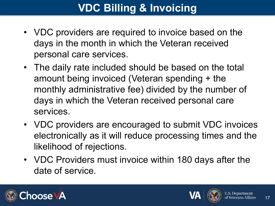### **VDC Billing & Invoicing**

- VDC providers are required to invoice based on the days in the month in which the Veteran received personal care services.
- The daily rate included should be based on the total amount being invoiced (Veteran spending + the monthly administrative fee) divided by the number of days in which the Veteran received personal care services.
- VDC providers are encouraged to submit VDC invoices electronically as it will reduce processing times and the likelihood of rejections.
- VDC Providers must invoice within 180 days after the date of service.



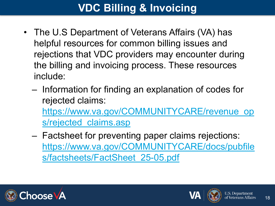### **VDC Billing & Invoicing**

- The U.S Department of Veterans Affairs (VA) has helpful resources for common billing issues and rejections that VDC providers may encounter during the billing and invoicing process. These resources include:
	- Information for finding an explanation of codes for rejected claims: [https://www.va.gov/COMMUNITYCARE/revenue\\_op](https://www.va.gov/COMMUNITYCARE/revenue_ops/rejected_claims.asp) s/rejected claims.asp
	- Factsheet for preventing paper claims rejections: [https://www.va.gov/COMMUNITYCARE/docs/pubfile](https://www.va.gov/COMMUNITYCARE/docs/pubfiles/factsheets/FactSheet_25-05.pdf) s/factsheets/FactSheet\_25-05.pdf



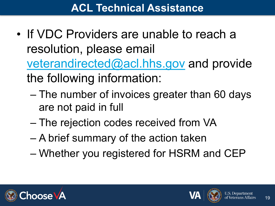- If VDC Providers are unable to reach a resolution, please email [veterandirected@acl.hhs.gov](mailto:veterandirected@acl.hhs.gov) and provide the following information:
	- The number of invoices greater than 60 days are not paid in full
	- The rejection codes received from VA
	- A brief summary of the action taken
	- Whether you registered for HSRM and CEP



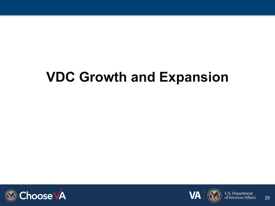### **VDC Growth and Expansion**





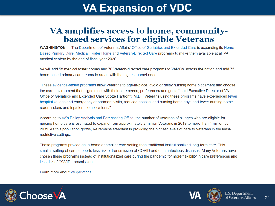#### **VA Expansion of VDC**

#### VA amplifies access to home, communitybased services for eligible Veterans

WASHINGTON — The Department of Veterans Affairs' Office of Geriatrics and Extended Care is expanding its Home-Based Primary Care, Medical Foster Home and Veteran-Directed Care programs to make them available at all VA medical centers by the end of fiscal year 2026.

VA will add 58 medical foster homes and 70 Veteran-directed care programs to VAMCs across the nation and add 75 home-based primary care teams to areas with the highest unmet need.

"These evidence-based programs allow Veterans to age-in-place, avoid or delay nursing home placement and choose the care environment that aligns most with their care needs, preferences and goals," said Executive Director of VA Office of Geriatrics and Extended Care Scotte Hartronft, M.D. "Veterans using these programs have experienced fewer hospitalizations and emergency department visits, reduced hospital and nursing home days and fewer nursing home readmissions and inpatient complications."

According to VA's Policy Analysis and Forecasting Office, the number of Veterans of all ages who are eligible for nursing home care is estimated to expand from approximately 2 million Veterans in 2019 to more than 4 million by 2039. As this population grows, VA remains steadfast in providing the highest levels of care to Veterans in the leastrestrictive settings.

These programs provide an in-home or smaller care setting than traditional institutionalized long-term care. This smaller setting of care supports less risk of transmission of COVID and other infectious diseases. Many Veterans have chosen these programs instead of institutionalized care during the pandemic for more flexibility in care preferences and less risk of COVID transmission.

Learn more about VA geriatrics.



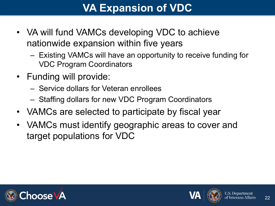#### **VA Expansion of VDC**

- VA will fund VAMCs developing VDC to achieve nationwide expansion within five years
	- Existing VAMCs will have an opportunity to receive funding for VDC Program Coordinators
- Funding will provide:
	- Service dollars for Veteran enrollees
	- Staffing dollars for new VDC Program Coordinators
- VAMCs are selected to participate by fiscal year
- VAMCs must identify geographic areas to cover and target populations for VDC



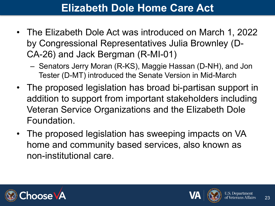#### **Elizabeth Dole Home Care Act**

- The Elizabeth Dole Act was introduced on March 1, 2022 by Congressional Representatives Julia Brownley (D-CA-26) and Jack Bergman (R-MI-01)
	- Senators Jerry Moran (R-KS), Maggie Hassan (D-NH), and Jon Tester (D-MT) introduced the Senate Version in Mid-March
- The proposed legislation has broad bi-partisan support in addition to support from important stakeholders including Veteran Service Organizations and the Elizabeth Dole Foundation.
- The proposed legislation has sweeping impacts on VA home and community based services, also known as non-institutional care.



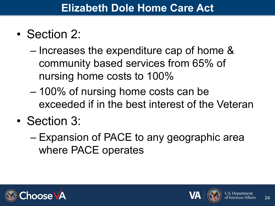- Section 2:
	- Increases the expenditure cap of home & community based services from 65% of nursing home costs to 100%
	- 100% of nursing home costs can be exceeded if in the best interest of the Veteran
- Section 3:
	- Expansion of PACE to any geographic area where PACE operates





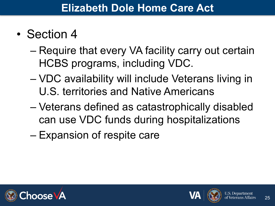- Section 4
	- Require that every VA facility carry out certain HCBS programs, including VDC.
	- VDC availability will include Veterans living in U.S. territories and Native Americans
	- Veterans defined as catastrophically disabled can use VDC funds during hospitalizations
	- Expansion of respite care



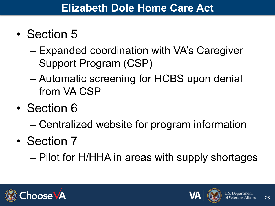- Section 5
	- Expanded coordination with VA's Caregiver Support Program (CSP)
	- Automatic screening for HCBS upon denial from VA CSP
- Section 6
	- Centralized website for program information
- Section 7

– Pilot for H/HHA in areas with supply shortages



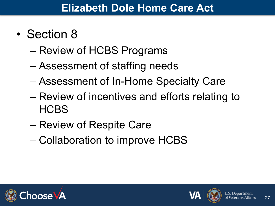- Section 8
	- Review of HCBS Programs
	- Assessment of staffing needs
	- Assessment of In-Home Specialty Care
	- Review of incentives and efforts relating to **HCBS**
	- Review of Respite Care
	- Collaboration to improve HCBS



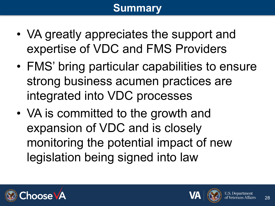#### **Summary**

- VA greatly appreciates the support and expertise of VDC and FMS Providers
- FMS' bring particular capabilities to ensure strong business acumen practices are integrated into VDC processes
- VA is committed to the growth and expansion of VDC and is closely monitoring the potential impact of new legislation being signed into law